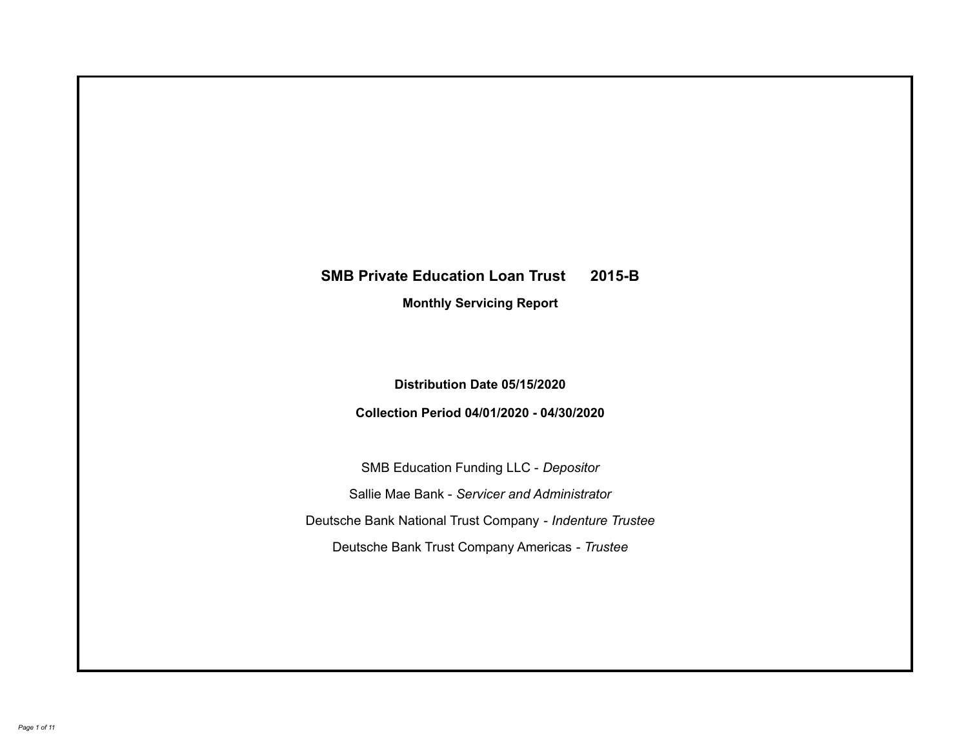# **SMB Private Education Loan Trust 2015-B Monthly Servicing Report**

# **Distribution Date 05/15/2020**

# **Collection Period 04/01/2020 - 04/30/2020**

SMB Education Funding LLC - *Depositor* Sallie Mae Bank - *Servicer and Administrator* Deutsche Bank National Trust Company - *Indenture Trustee* Deutsche Bank Trust Company Americas - *Trustee*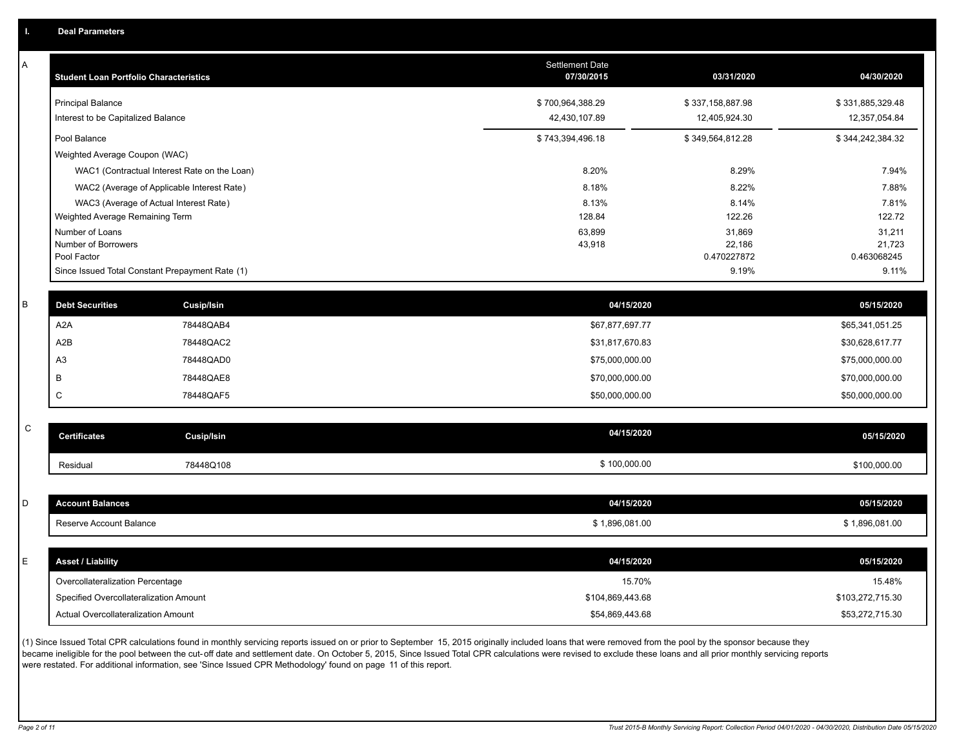A

| Α         | <b>Student Loan Portfolio Characteristics</b> |                                                 | <b>Settlement Date</b><br>07/30/2015 | 03/31/2020            | 04/30/2020            |
|-----------|-----------------------------------------------|-------------------------------------------------|--------------------------------------|-----------------------|-----------------------|
|           | <b>Principal Balance</b>                      |                                                 | \$700,964,388.29                     | \$337,158,887.98      | \$331,885,329.48      |
|           | Interest to be Capitalized Balance            |                                                 | 42,430,107.89                        | 12,405,924.30         | 12,357,054.84         |
|           | Pool Balance                                  |                                                 | \$743,394,496.18                     | \$349,564,812.28      | \$344,242,384.32      |
|           | Weighted Average Coupon (WAC)                 |                                                 |                                      |                       |                       |
|           |                                               | WAC1 (Contractual Interest Rate on the Loan)    | 8.20%                                | 8.29%                 | 7.94%                 |
|           |                                               | WAC2 (Average of Applicable Interest Rate)      | 8.18%                                | 8.22%                 | 7.88%                 |
|           |                                               | WAC3 (Average of Actual Interest Rate)          | 8.13%                                | 8.14%                 | 7.81%                 |
|           | Weighted Average Remaining Term               |                                                 | 128.84                               | 122.26                | 122.72                |
|           | Number of Loans                               |                                                 | 63,899                               | 31,869                | 31,211                |
|           | Number of Borrowers<br>Pool Factor            |                                                 | 43,918                               | 22,186<br>0.470227872 | 21,723<br>0.463068245 |
|           |                                               | Since Issued Total Constant Prepayment Rate (1) |                                      | 9.19%                 | 9.11%                 |
|           |                                               |                                                 |                                      |                       |                       |
| B         | <b>Debt Securities</b>                        | <b>Cusip/Isin</b>                               | 04/15/2020                           |                       | 05/15/2020            |
|           | A <sub>2</sub> A                              | 78448QAB4                                       | \$67,877,697.77                      |                       | \$65,341,051.25       |
|           | A <sub>2</sub> B                              | 78448QAC2                                       | \$31,817,670.83                      |                       | \$30,628,617.77       |
|           | A <sub>3</sub>                                | 78448QAD0                                       | \$75,000,000.00                      |                       | \$75,000,000.00       |
|           | B                                             | 78448QAE8                                       | \$70,000,000.00                      |                       | \$70,000,000.00       |
|           | C                                             | 78448QAF5                                       | \$50,000,000.00                      |                       | \$50,000,000.00       |
|           |                                               |                                                 |                                      |                       |                       |
| ${\bf C}$ | <b>Certificates</b>                           | Cusip/Isin                                      | 04/15/2020                           |                       | 05/15/2020            |
|           | Residual                                      | 78448Q108                                       | \$100,000.00                         |                       | \$100,000.00          |
|           |                                               |                                                 |                                      |                       |                       |
| D         | <b>Account Balances</b>                       |                                                 | 04/15/2020                           |                       | 05/15/2020            |
|           | Reserve Account Balance                       |                                                 | \$1,896,081.00                       |                       | \$1,896,081.00        |
|           |                                               |                                                 |                                      |                       |                       |
| E         | <b>Asset / Liability</b>                      |                                                 | 04/15/2020                           |                       | 05/15/2020            |
|           | Overcollateralization Percentage              |                                                 | 15.70%                               |                       | 15.48%                |
|           | Specified Overcollateralization Amount        |                                                 | \$104,869,443.68                     |                       | \$103,272,715.30      |
|           | Actual Overcollateralization Amount           |                                                 | \$54,869,443.68                      |                       | \$53,272,715.30       |

(1) Since Issued Total CPR calculations found in monthly servicing reports issued on or prior to September 15, 2015 originally included loans that were removed from the pool by the sponsor because they .<br>became ineligible for the pool between the cut-off date and settlement date. On October 5, 2015, Since Issued Total CPR calculations were revised to exclude these loans and all prior monthly servicing reports were restated. For additional information, see 'Since Issued CPR Methodology' found on page 11 of this report.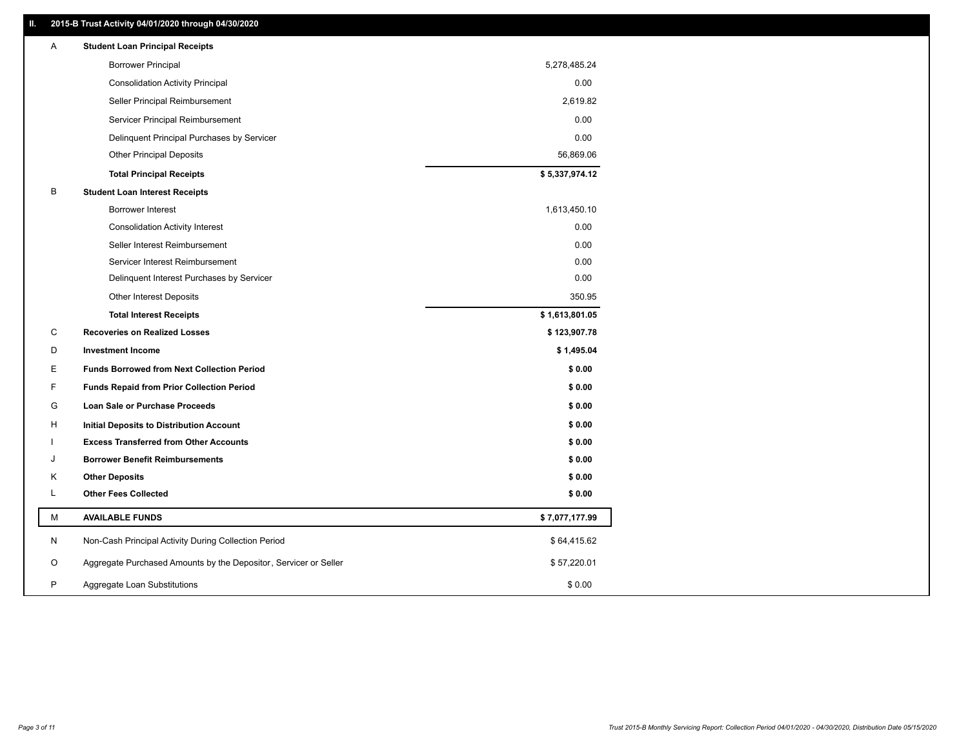### **II. 2015-B Trust Activity 04/01/2020 through 04/30/2020**

| <b>Borrower Principal</b><br>5,278,485.24<br>0.00<br><b>Consolidation Activity Principal</b><br>2,619.82<br>Seller Principal Reimbursement<br>0.00<br>Servicer Principal Reimbursement<br>0.00<br>Delinquent Principal Purchases by Servicer<br><b>Other Principal Deposits</b><br>56,869.06<br>\$5,337,974.12<br><b>Total Principal Receipts</b><br>B<br><b>Student Loan Interest Receipts</b><br>Borrower Interest<br>1,613,450.10<br>0.00<br><b>Consolidation Activity Interest</b><br>0.00<br>Seller Interest Reimbursement<br>Servicer Interest Reimbursement<br>0.00<br>0.00<br>Delinquent Interest Purchases by Servicer<br>350.95<br><b>Other Interest Deposits</b><br>\$1,613,801.05<br><b>Total Interest Receipts</b><br>C<br><b>Recoveries on Realized Losses</b><br>\$123,907.78<br>D<br><b>Investment Income</b><br>\$1,495.04<br>Е<br><b>Funds Borrowed from Next Collection Period</b><br>\$0.00<br>F<br>\$0.00<br><b>Funds Repaid from Prior Collection Period</b><br>G<br>\$0.00<br>Loan Sale or Purchase Proceeds<br>\$0.00<br>н<br>Initial Deposits to Distribution Account<br><b>Excess Transferred from Other Accounts</b><br>\$0.00<br>J<br><b>Borrower Benefit Reimbursements</b><br>\$0.00<br>Κ<br><b>Other Deposits</b><br>\$0.00<br>L<br><b>Other Fees Collected</b><br>\$0.00<br>М<br><b>AVAILABLE FUNDS</b><br>\$7,077,177.99<br>N<br>Non-Cash Principal Activity During Collection Period<br>\$64,415.62<br>Aggregate Purchased Amounts by the Depositor, Servicer or Seller<br>O<br>\$57,220.01 | Α | <b>Student Loan Principal Receipts</b> |  |
|-------------------------------------------------------------------------------------------------------------------------------------------------------------------------------------------------------------------------------------------------------------------------------------------------------------------------------------------------------------------------------------------------------------------------------------------------------------------------------------------------------------------------------------------------------------------------------------------------------------------------------------------------------------------------------------------------------------------------------------------------------------------------------------------------------------------------------------------------------------------------------------------------------------------------------------------------------------------------------------------------------------------------------------------------------------------------------------------------------------------------------------------------------------------------------------------------------------------------------------------------------------------------------------------------------------------------------------------------------------------------------------------------------------------------------------------------------------------------------------------------------------------------------|---|----------------------------------------|--|
|                                                                                                                                                                                                                                                                                                                                                                                                                                                                                                                                                                                                                                                                                                                                                                                                                                                                                                                                                                                                                                                                                                                                                                                                                                                                                                                                                                                                                                                                                                                               |   |                                        |  |
|                                                                                                                                                                                                                                                                                                                                                                                                                                                                                                                                                                                                                                                                                                                                                                                                                                                                                                                                                                                                                                                                                                                                                                                                                                                                                                                                                                                                                                                                                                                               |   |                                        |  |
|                                                                                                                                                                                                                                                                                                                                                                                                                                                                                                                                                                                                                                                                                                                                                                                                                                                                                                                                                                                                                                                                                                                                                                                                                                                                                                                                                                                                                                                                                                                               |   |                                        |  |
|                                                                                                                                                                                                                                                                                                                                                                                                                                                                                                                                                                                                                                                                                                                                                                                                                                                                                                                                                                                                                                                                                                                                                                                                                                                                                                                                                                                                                                                                                                                               |   |                                        |  |
|                                                                                                                                                                                                                                                                                                                                                                                                                                                                                                                                                                                                                                                                                                                                                                                                                                                                                                                                                                                                                                                                                                                                                                                                                                                                                                                                                                                                                                                                                                                               |   |                                        |  |
|                                                                                                                                                                                                                                                                                                                                                                                                                                                                                                                                                                                                                                                                                                                                                                                                                                                                                                                                                                                                                                                                                                                                                                                                                                                                                                                                                                                                                                                                                                                               |   |                                        |  |
|                                                                                                                                                                                                                                                                                                                                                                                                                                                                                                                                                                                                                                                                                                                                                                                                                                                                                                                                                                                                                                                                                                                                                                                                                                                                                                                                                                                                                                                                                                                               |   |                                        |  |
|                                                                                                                                                                                                                                                                                                                                                                                                                                                                                                                                                                                                                                                                                                                                                                                                                                                                                                                                                                                                                                                                                                                                                                                                                                                                                                                                                                                                                                                                                                                               |   |                                        |  |
|                                                                                                                                                                                                                                                                                                                                                                                                                                                                                                                                                                                                                                                                                                                                                                                                                                                                                                                                                                                                                                                                                                                                                                                                                                                                                                                                                                                                                                                                                                                               |   |                                        |  |
|                                                                                                                                                                                                                                                                                                                                                                                                                                                                                                                                                                                                                                                                                                                                                                                                                                                                                                                                                                                                                                                                                                                                                                                                                                                                                                                                                                                                                                                                                                                               |   |                                        |  |
|                                                                                                                                                                                                                                                                                                                                                                                                                                                                                                                                                                                                                                                                                                                                                                                                                                                                                                                                                                                                                                                                                                                                                                                                                                                                                                                                                                                                                                                                                                                               |   |                                        |  |
|                                                                                                                                                                                                                                                                                                                                                                                                                                                                                                                                                                                                                                                                                                                                                                                                                                                                                                                                                                                                                                                                                                                                                                                                                                                                                                                                                                                                                                                                                                                               |   |                                        |  |
|                                                                                                                                                                                                                                                                                                                                                                                                                                                                                                                                                                                                                                                                                                                                                                                                                                                                                                                                                                                                                                                                                                                                                                                                                                                                                                                                                                                                                                                                                                                               |   |                                        |  |
|                                                                                                                                                                                                                                                                                                                                                                                                                                                                                                                                                                                                                                                                                                                                                                                                                                                                                                                                                                                                                                                                                                                                                                                                                                                                                                                                                                                                                                                                                                                               |   |                                        |  |
|                                                                                                                                                                                                                                                                                                                                                                                                                                                                                                                                                                                                                                                                                                                                                                                                                                                                                                                                                                                                                                                                                                                                                                                                                                                                                                                                                                                                                                                                                                                               |   |                                        |  |
|                                                                                                                                                                                                                                                                                                                                                                                                                                                                                                                                                                                                                                                                                                                                                                                                                                                                                                                                                                                                                                                                                                                                                                                                                                                                                                                                                                                                                                                                                                                               |   |                                        |  |
|                                                                                                                                                                                                                                                                                                                                                                                                                                                                                                                                                                                                                                                                                                                                                                                                                                                                                                                                                                                                                                                                                                                                                                                                                                                                                                                                                                                                                                                                                                                               |   |                                        |  |
|                                                                                                                                                                                                                                                                                                                                                                                                                                                                                                                                                                                                                                                                                                                                                                                                                                                                                                                                                                                                                                                                                                                                                                                                                                                                                                                                                                                                                                                                                                                               |   |                                        |  |
|                                                                                                                                                                                                                                                                                                                                                                                                                                                                                                                                                                                                                                                                                                                                                                                                                                                                                                                                                                                                                                                                                                                                                                                                                                                                                                                                                                                                                                                                                                                               |   |                                        |  |
|                                                                                                                                                                                                                                                                                                                                                                                                                                                                                                                                                                                                                                                                                                                                                                                                                                                                                                                                                                                                                                                                                                                                                                                                                                                                                                                                                                                                                                                                                                                               |   |                                        |  |
|                                                                                                                                                                                                                                                                                                                                                                                                                                                                                                                                                                                                                                                                                                                                                                                                                                                                                                                                                                                                                                                                                                                                                                                                                                                                                                                                                                                                                                                                                                                               |   |                                        |  |
|                                                                                                                                                                                                                                                                                                                                                                                                                                                                                                                                                                                                                                                                                                                                                                                                                                                                                                                                                                                                                                                                                                                                                                                                                                                                                                                                                                                                                                                                                                                               |   |                                        |  |
|                                                                                                                                                                                                                                                                                                                                                                                                                                                                                                                                                                                                                                                                                                                                                                                                                                                                                                                                                                                                                                                                                                                                                                                                                                                                                                                                                                                                                                                                                                                               |   |                                        |  |
|                                                                                                                                                                                                                                                                                                                                                                                                                                                                                                                                                                                                                                                                                                                                                                                                                                                                                                                                                                                                                                                                                                                                                                                                                                                                                                                                                                                                                                                                                                                               |   |                                        |  |
|                                                                                                                                                                                                                                                                                                                                                                                                                                                                                                                                                                                                                                                                                                                                                                                                                                                                                                                                                                                                                                                                                                                                                                                                                                                                                                                                                                                                                                                                                                                               |   |                                        |  |
|                                                                                                                                                                                                                                                                                                                                                                                                                                                                                                                                                                                                                                                                                                                                                                                                                                                                                                                                                                                                                                                                                                                                                                                                                                                                                                                                                                                                                                                                                                                               |   |                                        |  |
|                                                                                                                                                                                                                                                                                                                                                                                                                                                                                                                                                                                                                                                                                                                                                                                                                                                                                                                                                                                                                                                                                                                                                                                                                                                                                                                                                                                                                                                                                                                               |   |                                        |  |
|                                                                                                                                                                                                                                                                                                                                                                                                                                                                                                                                                                                                                                                                                                                                                                                                                                                                                                                                                                                                                                                                                                                                                                                                                                                                                                                                                                                                                                                                                                                               |   |                                        |  |
| P<br>\$0.00<br>Aggregate Loan Substitutions                                                                                                                                                                                                                                                                                                                                                                                                                                                                                                                                                                                                                                                                                                                                                                                                                                                                                                                                                                                                                                                                                                                                                                                                                                                                                                                                                                                                                                                                                   |   |                                        |  |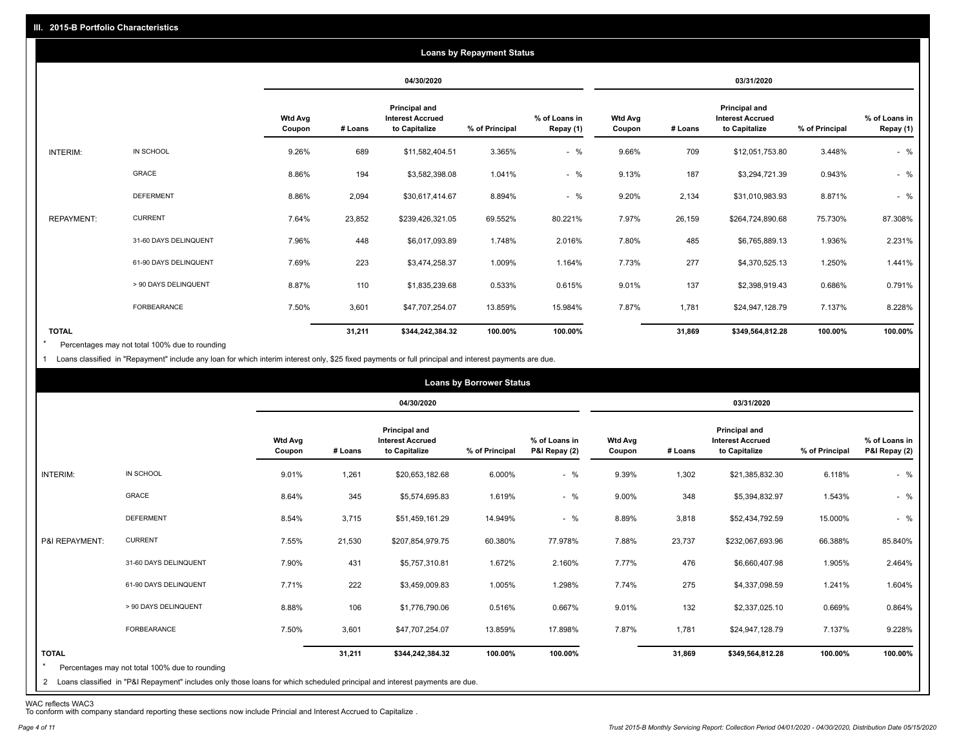|                   |                       |                          |         |                                                           | <b>Loans by Repayment Status</b> |                            |                          |         |                                                                  |                |                            |
|-------------------|-----------------------|--------------------------|---------|-----------------------------------------------------------|----------------------------------|----------------------------|--------------------------|---------|------------------------------------------------------------------|----------------|----------------------------|
|                   |                       |                          |         | 04/30/2020                                                |                                  |                            |                          |         | 03/31/2020                                                       |                |                            |
|                   |                       | <b>Wtd Avg</b><br>Coupon | # Loans | Principal and<br><b>Interest Accrued</b><br>to Capitalize | % of Principal                   | % of Loans in<br>Repay (1) | <b>Wtd Avg</b><br>Coupon | # Loans | <b>Principal and</b><br><b>Interest Accrued</b><br>to Capitalize | % of Principal | % of Loans in<br>Repay (1) |
| INTERIM:          | IN SCHOOL             | 9.26%                    | 689     | \$11,582,404.51                                           | 3.365%                           | $-$ %                      | 9.66%                    | 709     | \$12,051,753.80                                                  | 3.448%         | $-$ %                      |
|                   | GRACE                 | 8.86%                    | 194     | \$3,582,398.08                                            | 1.041%                           | $-$ %                      | 9.13%                    | 187     | \$3,294,721.39                                                   | 0.943%         | $-$ %                      |
|                   | <b>DEFERMENT</b>      | 8.86%                    | 2,094   | \$30,617,414.67                                           | 8.894%                           | $-$ %                      | 9.20%                    | 2,134   | \$31,010,983.93                                                  | 8.871%         | $-$ %                      |
| <b>REPAYMENT:</b> | <b>CURRENT</b>        | 7.64%                    | 23,852  | \$239,426,321.05                                          | 69.552%                          | 80.221%                    | 7.97%                    | 26,159  | \$264,724,890.68                                                 | 75.730%        | 87.308%                    |
|                   | 31-60 DAYS DELINQUENT | 7.96%                    | 448     | \$6,017,093.89                                            | 1.748%                           | 2.016%                     | 7.80%                    | 485     | \$6,765,889.13                                                   | 1.936%         | 2.231%                     |
|                   | 61-90 DAYS DELINQUENT | 7.69%                    | 223     | \$3,474,258.37                                            | 1.009%                           | 1.164%                     | 7.73%                    | 277     | \$4,370,525.13                                                   | 1.250%         | 1.441%                     |
|                   | > 90 DAYS DELINQUENT  | 8.87%                    | 110     | \$1,835,239.68                                            | 0.533%                           | 0.615%                     | 9.01%                    | 137     | \$2,398,919.43                                                   | 0.686%         | 0.791%                     |
|                   | <b>FORBEARANCE</b>    | 7.50%                    | 3,601   | \$47,707,254.07                                           | 13.859%                          | 15.984%                    | 7.87%                    | 1,781   | \$24,947,128.79                                                  | 7.137%         | 8.228%                     |
| <b>TOTAL</b>      |                       |                          | 31,211  | \$344,242,384.32                                          | 100.00%                          | 100.00%                    |                          | 31,869  | \$349,564,812.28                                                 | 100.00%        | 100.00%                    |

Percentages may not total 100% due to rounding  $\star$ 

1 Loans classified in "Repayment" include any loan for which interim interest only, \$25 fixed payments or full principal and interest payments are due.

|                         |                                                                                                                                                                                |                          |         |                                                                  | <b>Loans by Borrower Status</b> |                                |                          |         |                                                           |                |                                |
|-------------------------|--------------------------------------------------------------------------------------------------------------------------------------------------------------------------------|--------------------------|---------|------------------------------------------------------------------|---------------------------------|--------------------------------|--------------------------|---------|-----------------------------------------------------------|----------------|--------------------------------|
|                         |                                                                                                                                                                                |                          |         | 04/30/2020                                                       |                                 |                                |                          |         | 03/31/2020                                                |                |                                |
|                         |                                                                                                                                                                                | <b>Wtd Avg</b><br>Coupon | # Loans | <b>Principal and</b><br><b>Interest Accrued</b><br>to Capitalize | % of Principal                  | % of Loans in<br>P&I Repay (2) | <b>Wtd Avg</b><br>Coupon | # Loans | Principal and<br><b>Interest Accrued</b><br>to Capitalize | % of Principal | % of Loans in<br>P&I Repay (2) |
| INTERIM:                | IN SCHOOL                                                                                                                                                                      | 9.01%                    | 1,261   | \$20,653,182.68                                                  | 6.000%                          | $-$ %                          | 9.39%                    | 1,302   | \$21,385,832.30                                           | 6.118%         | $-$ %                          |
|                         | GRACE                                                                                                                                                                          | 8.64%                    | 345     | \$5,574,695.83                                                   | 1.619%                          | $-$ %                          | 9.00%                    | 348     | \$5,394,832.97                                            | 1.543%         | $-$ %                          |
|                         | <b>DEFERMENT</b>                                                                                                                                                               | 8.54%                    | 3,715   | \$51,459,161.29                                                  | 14.949%                         | $-$ %                          | 8.89%                    | 3,818   | \$52,434,792.59                                           | 15.000%        | $-$ %                          |
| P&I REPAYMENT:          | <b>CURRENT</b>                                                                                                                                                                 | 7.55%                    | 21,530  | \$207,854,979.75                                                 | 60.380%                         | 77.978%                        | 7.88%                    | 23,737  | \$232,067,693.96                                          | 66.388%        | 85.840%                        |
|                         | 31-60 DAYS DELINQUENT                                                                                                                                                          | 7.90%                    | 431     | \$5,757,310.81                                                   | 1.672%                          | 2.160%                         | 7.77%                    | 476     | \$6,660,407.98                                            | 1.905%         | 2.464%                         |
|                         | 61-90 DAYS DELINQUENT                                                                                                                                                          | 7.71%                    | 222     | \$3,459,009.83                                                   | 1.005%                          | 1.298%                         | 7.74%                    | 275     | \$4,337,098.59                                            | 1.241%         | 1.604%                         |
|                         | > 90 DAYS DELINQUENT                                                                                                                                                           | 8.88%                    | 106     | \$1,776,790.06                                                   | 0.516%                          | 0.667%                         | 9.01%                    | 132     | \$2,337,025.10                                            | 0.669%         | 0.864%                         |
|                         | FORBEARANCE                                                                                                                                                                    | 7.50%                    | 3,601   | \$47,707,254.07                                                  | 13.859%                         | 17.898%                        | 7.87%                    | 1,781   | \$24,947,128.79                                           | 7.137%         | 9.228%                         |
| <b>TOTAL</b><br>$\star$ | Percentages may not total 100% due to rounding<br>2 Loans classified in "P&I Repayment" includes only those loans for which scheduled principal and interest payments are due. |                          | 31,211  | \$344,242,384.32                                                 | 100.00%                         | 100.00%                        |                          | 31,869  | \$349,564,812.28                                          | 100.00%        | 100.00%                        |

WAC reflects WAC3 To conform with company standard reporting these sections now include Princial and Interest Accrued to Capitalize .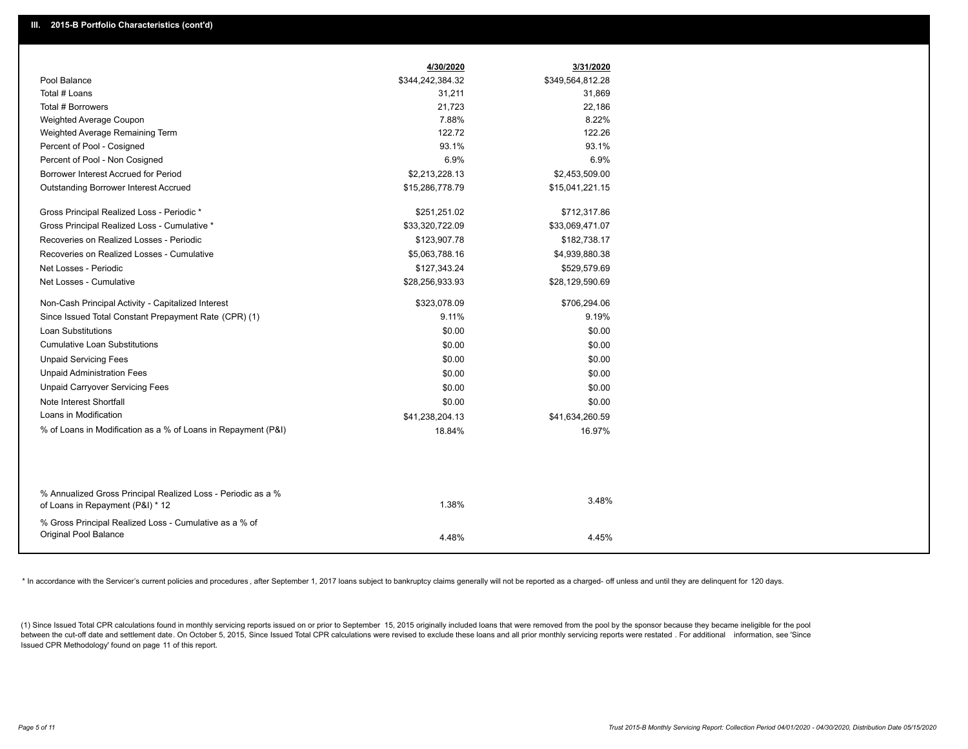|                                                                                                  | 4/30/2020        | 3/31/2020        |
|--------------------------------------------------------------------------------------------------|------------------|------------------|
| Pool Balance                                                                                     | \$344,242,384.32 | \$349,564,812.28 |
| Total # Loans                                                                                    | 31,211           | 31,869           |
| Total # Borrowers                                                                                | 21,723           | 22,186           |
| Weighted Average Coupon                                                                          | 7.88%            | 8.22%            |
| Weighted Average Remaining Term                                                                  | 122.72           | 122.26           |
| Percent of Pool - Cosigned                                                                       | 93.1%            | 93.1%            |
| Percent of Pool - Non Cosigned                                                                   | 6.9%             | 6.9%             |
| Borrower Interest Accrued for Period                                                             | \$2,213,228.13   | \$2,453,509.00   |
| Outstanding Borrower Interest Accrued                                                            | \$15,286,778.79  | \$15,041,221.15  |
| Gross Principal Realized Loss - Periodic *                                                       | \$251,251.02     | \$712,317.86     |
| Gross Principal Realized Loss - Cumulative *                                                     | \$33,320,722.09  | \$33,069,471.07  |
| Recoveries on Realized Losses - Periodic                                                         | \$123,907.78     | \$182,738.17     |
| Recoveries on Realized Losses - Cumulative                                                       | \$5,063,788.16   | \$4,939,880.38   |
| Net Losses - Periodic                                                                            | \$127,343.24     | \$529,579.69     |
| Net Losses - Cumulative                                                                          | \$28,256,933.93  | \$28,129,590.69  |
| Non-Cash Principal Activity - Capitalized Interest                                               | \$323,078.09     | \$706,294.06     |
| Since Issued Total Constant Prepayment Rate (CPR) (1)                                            | 9.11%            | 9.19%            |
| <b>Loan Substitutions</b>                                                                        | \$0.00           | \$0.00           |
| <b>Cumulative Loan Substitutions</b>                                                             | \$0.00           | \$0.00           |
| <b>Unpaid Servicing Fees</b>                                                                     | \$0.00           | \$0.00           |
| <b>Unpaid Administration Fees</b>                                                                | \$0.00           | \$0.00           |
| <b>Unpaid Carryover Servicing Fees</b>                                                           | \$0.00           | \$0.00           |
| Note Interest Shortfall                                                                          | \$0.00           | \$0.00           |
| Loans in Modification                                                                            | \$41,238,204.13  | \$41,634,260.59  |
| % of Loans in Modification as a % of Loans in Repayment (P&I)                                    | 18.84%           | 16.97%           |
|                                                                                                  |                  |                  |
| % Annualized Gross Principal Realized Loss - Periodic as a %<br>of Loans in Repayment (P&I) * 12 | 1.38%            | 3.48%            |
| % Gross Principal Realized Loss - Cumulative as a % of                                           |                  |                  |
| Original Pool Balance                                                                            | 4.48%            | 4.45%            |

\* In accordance with the Servicer's current policies and procedures, after September 1, 2017 loans subject to bankruptcy claims generally will not be reported as a charged- off unless and until they are delinquent for 120

(1) Since Issued Total CPR calculations found in monthly servicing reports issued on or prior to September 15, 2015 originally included loans that were removed from the pool by the sponsor because they became ineligible fo between the cut-off date and settlement date. On October 5, 2015, Since Issued Total CPR calculations were revised to exclude these loans and all prior monthly servicing reports were restated. For additional information, s Issued CPR Methodology' found on page 11 of this report.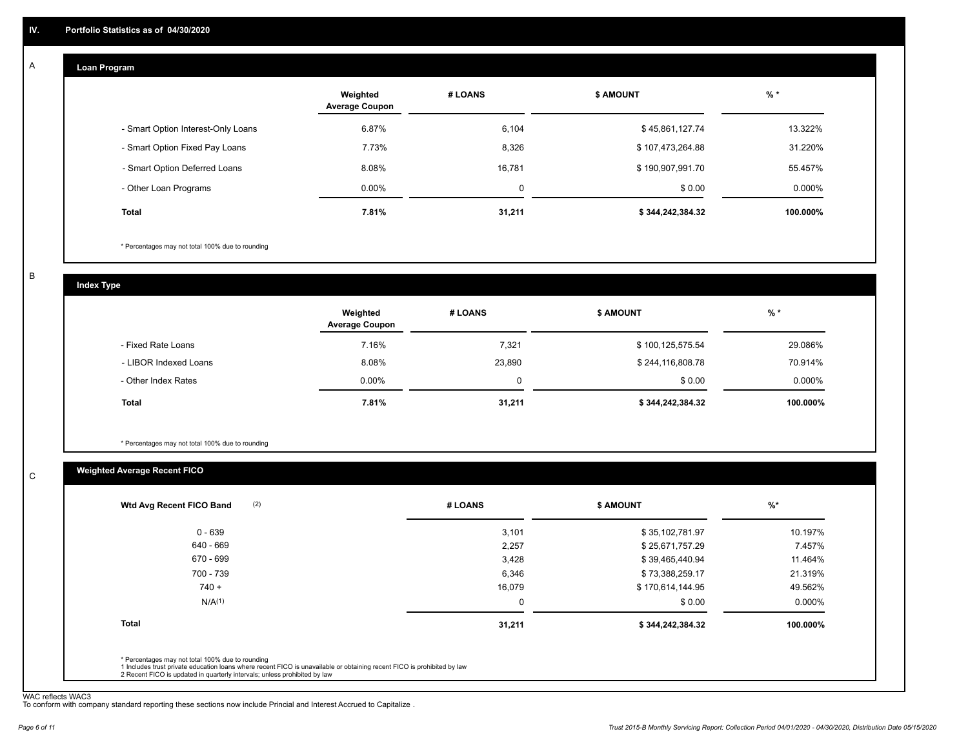#### **Loan Program**  A

|                                    | Weighted<br><b>Average Coupon</b> | # LOANS     | <b>\$ AMOUNT</b> | $%$ *    |
|------------------------------------|-----------------------------------|-------------|------------------|----------|
| - Smart Option Interest-Only Loans | 6.87%                             | 6,104       | \$45,861,127.74  | 13.322%  |
| - Smart Option Fixed Pay Loans     | 7.73%                             | 8,326       | \$107,473,264.88 | 31.220%  |
| - Smart Option Deferred Loans      | 8.08%                             | 16,781      | \$190,907,991.70 | 55.457%  |
| - Other Loan Programs              | $0.00\%$                          | $\mathbf 0$ | \$0.00           | 0.000%   |
| <b>Total</b>                       | 7.81%                             | 31,211      | \$344,242,384.32 | 100.000% |

\* Percentages may not total 100% due to rounding

B

C

**Index Type**

|                       | Weighted<br><b>Average Coupon</b> | # LOANS | <b>S AMOUNT</b>  | $%$ *     |
|-----------------------|-----------------------------------|---------|------------------|-----------|
| - Fixed Rate Loans    | 7.16%                             | 7,321   | \$100,125,575.54 | 29.086%   |
| - LIBOR Indexed Loans | 8.08%                             | 23,890  | \$244,116,808.78 | 70.914%   |
| - Other Index Rates   | $0.00\%$                          |         | \$0.00           | $0.000\%$ |
| Total                 | 7.81%                             | 31,211  | \$344,242,384.32 | 100.000%  |

\* Percentages may not total 100% due to rounding

## **Weighted Average Recent FICO**

| $0 - 639$          | 3,101  |                  |           |
|--------------------|--------|------------------|-----------|
|                    |        | \$35,102,781.97  | 10.197%   |
| $640 - 669$        | 2,257  | \$25,671,757.29  | 7.457%    |
| 670 - 699          | 3,428  | \$39,465,440.94  | 11.464%   |
| 700 - 739          | 6,346  | \$73,388,259.17  | 21.319%   |
| $740 +$            | 16,079 | \$170,614,144.95 | 49.562%   |
| N/A <sup>(1)</sup> | 0      | \$0.00           | $0.000\%$ |
| <b>Total</b>       | 31,211 | \$344,242,384.32 | 100.000%  |

WAC reflects WAC3 To conform with company standard reporting these sections now include Princial and Interest Accrued to Capitalize .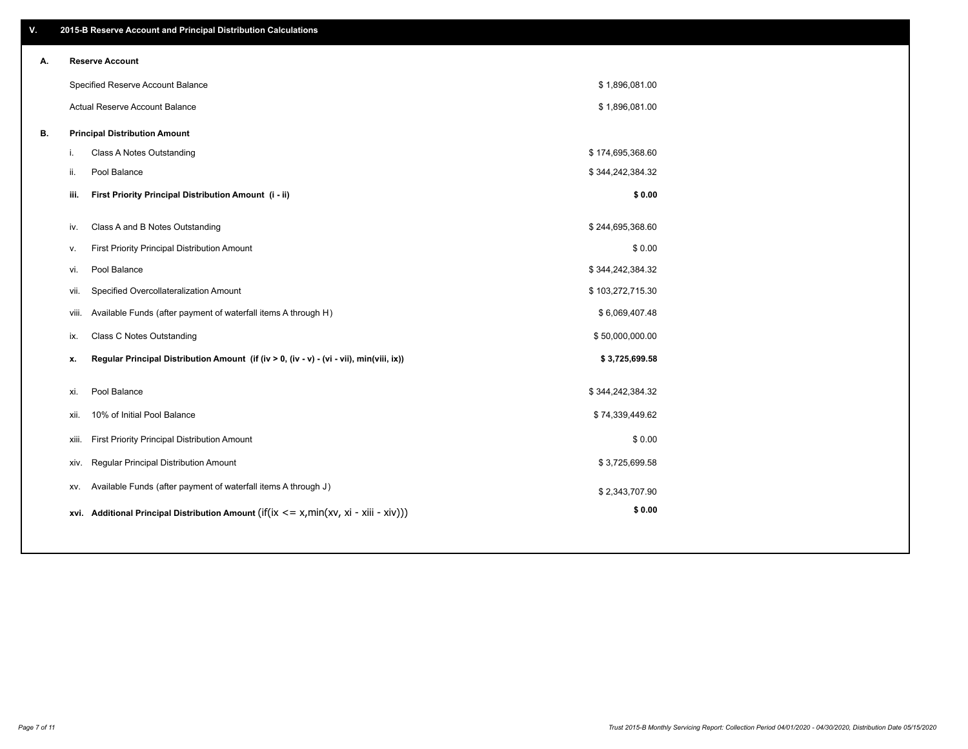| V. |       | 2015-B Reserve Account and Principal Distribution Calculations                             |                  |  |
|----|-------|--------------------------------------------------------------------------------------------|------------------|--|
| А. |       | <b>Reserve Account</b>                                                                     |                  |  |
|    |       | Specified Reserve Account Balance                                                          | \$1,896,081.00   |  |
|    |       | Actual Reserve Account Balance                                                             | \$1,896,081.00   |  |
| В. |       | <b>Principal Distribution Amount</b>                                                       |                  |  |
|    | i.    | Class A Notes Outstanding                                                                  | \$174,695,368.60 |  |
|    | ii.   | Pool Balance                                                                               | \$344,242,384.32 |  |
|    | iii.  | First Priority Principal Distribution Amount (i - ii)                                      | \$0.00           |  |
|    | iv.   | Class A and B Notes Outstanding                                                            | \$244,695,368.60 |  |
|    | v.    | First Priority Principal Distribution Amount                                               | \$0.00           |  |
|    | vi.   | Pool Balance                                                                               | \$344,242,384.32 |  |
|    | vii.  | Specified Overcollateralization Amount                                                     | \$103,272,715.30 |  |
|    | viii. | Available Funds (after payment of waterfall items A through H)                             | \$6,069,407.48   |  |
|    | ix.   | <b>Class C Notes Outstanding</b>                                                           | \$50,000,000.00  |  |
|    | x.    | Regular Principal Distribution Amount (if (iv > 0, (iv - v) - (vi - vii), min(viii, ix))   | \$3,725,699.58   |  |
|    |       |                                                                                            |                  |  |
|    | xi.   | Pool Balance                                                                               | \$344,242,384.32 |  |
|    | xii.  | 10% of Initial Pool Balance                                                                | \$74,339,449.62  |  |
|    | xiii. | First Priority Principal Distribution Amount                                               | \$0.00           |  |
|    | XIV.  | Regular Principal Distribution Amount                                                      | \$3,725,699.58   |  |
|    | XV.   | Available Funds (after payment of waterfall items A through J)                             | \$2,343,707.90   |  |
|    |       | xvi. Additional Principal Distribution Amount (if(ix $\lt$ = x, min(xv, xi - xiii - xiv))) | \$0.00           |  |
|    |       |                                                                                            |                  |  |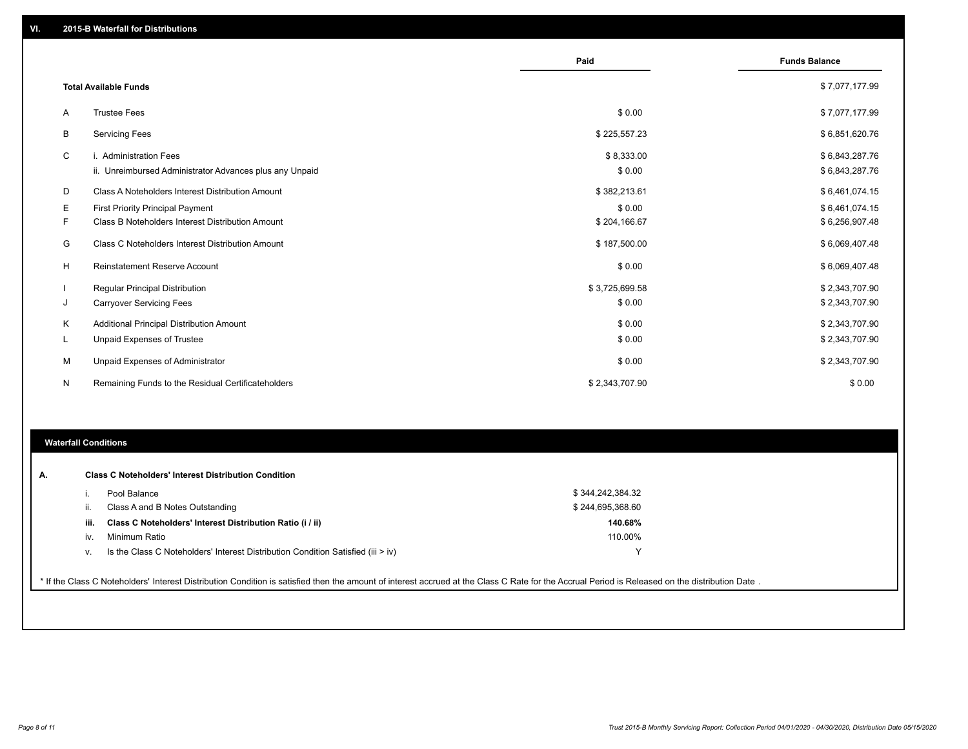|    |                                                         | Paid           | <b>Funds Balance</b> |
|----|---------------------------------------------------------|----------------|----------------------|
|    | <b>Total Available Funds</b>                            |                | \$7,077,177.99       |
| Α  | <b>Trustee Fees</b>                                     | \$0.00         | \$7,077,177.99       |
| В  | <b>Servicing Fees</b>                                   | \$225,557.23   | \$6,851,620.76       |
| C  | i. Administration Fees                                  | \$8,333.00     | \$6,843,287.76       |
|    | ii. Unreimbursed Administrator Advances plus any Unpaid | \$0.00         | \$6,843,287.76       |
| D  | Class A Noteholders Interest Distribution Amount        | \$382,213.61   | \$6,461,074.15       |
| Е  | First Priority Principal Payment                        | \$0.00         | \$6,461,074.15       |
| F. | Class B Noteholders Interest Distribution Amount        | \$204,166.67   | \$6,256,907.48       |
| G  | <b>Class C Noteholders Interest Distribution Amount</b> | \$187,500.00   | \$6,069,407.48       |
| H  | <b>Reinstatement Reserve Account</b>                    | \$0.00         | \$6,069,407.48       |
|    | Regular Principal Distribution                          | \$3,725,699.58 | \$2,343,707.90       |
| J  | <b>Carryover Servicing Fees</b>                         | \$0.00         | \$2,343,707.90       |
| Κ  | Additional Principal Distribution Amount                | \$0.00         | \$2,343,707.90       |
| L  | Unpaid Expenses of Trustee                              | \$0.00         | \$2,343,707.90       |
| м  | Unpaid Expenses of Administrator                        | \$0.00         | \$2,343,707.90       |
| N  | Remaining Funds to the Residual Certificateholders      | \$2,343,707.90 | \$0.00               |

#### **Waterfall Conditions**

|      | Pool Balance                                                                       | \$344,242,384.32 |  |
|------|------------------------------------------------------------------------------------|------------------|--|
|      | Class A and B Notes Outstanding                                                    | \$244,695,368.60 |  |
| iii. | Class C Noteholders' Interest Distribution Ratio (i / ii)                          | 140.68%          |  |
| iv.  | Minimum Ratio                                                                      | 110.00%          |  |
| V.   | Is the Class C Noteholders' Interest Distribution Condition Satisfied (iii $>$ iv) | ◡                |  |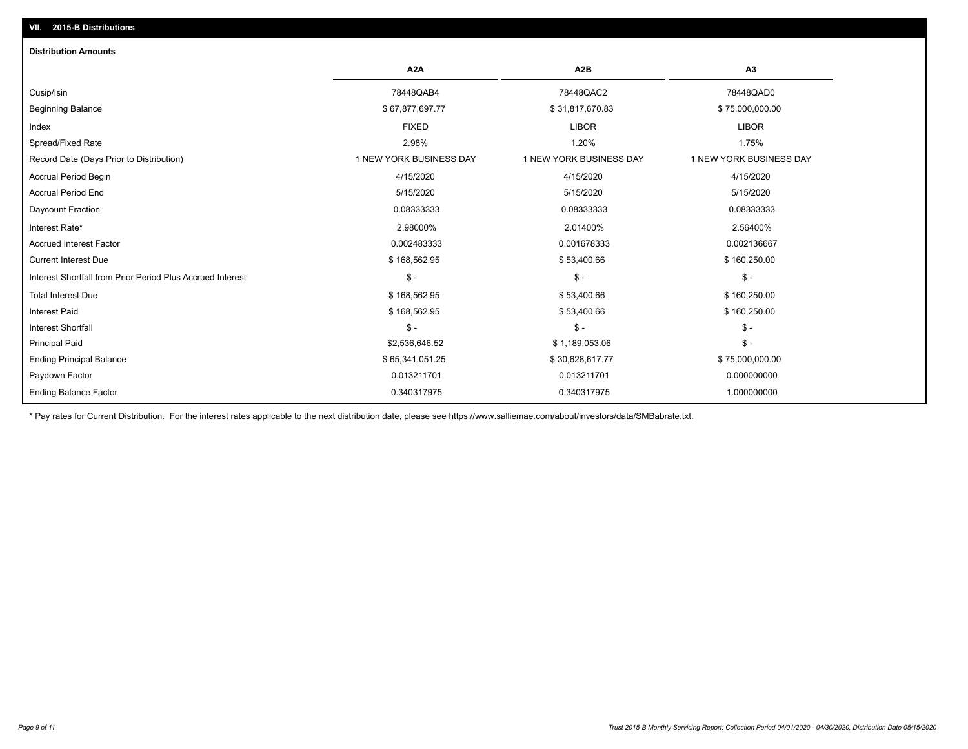# **VII. 2015-B Distributions**

| <b>Distribution Amounts</b>                                |                         |                         |                         |
|------------------------------------------------------------|-------------------------|-------------------------|-------------------------|
|                                                            | A <sub>2</sub> A        | A <sub>2</sub> B        | A <sub>3</sub>          |
| Cusip/Isin                                                 | 78448QAB4               | 78448QAC2               | 78448QAD0               |
| <b>Beginning Balance</b>                                   | \$67,877,697.77         | \$31,817,670.83         | \$75,000,000.00         |
| Index                                                      | <b>FIXED</b>            | <b>LIBOR</b>            | <b>LIBOR</b>            |
| Spread/Fixed Rate                                          | 2.98%                   | 1.20%                   | 1.75%                   |
| Record Date (Days Prior to Distribution)                   | 1 NEW YORK BUSINESS DAY | 1 NEW YORK BUSINESS DAY | 1 NEW YORK BUSINESS DAY |
| <b>Accrual Period Begin</b>                                | 4/15/2020               | 4/15/2020               | 4/15/2020               |
| <b>Accrual Period End</b>                                  | 5/15/2020               | 5/15/2020               | 5/15/2020               |
| Daycount Fraction                                          | 0.08333333              | 0.08333333              | 0.08333333              |
| Interest Rate*                                             | 2.98000%                | 2.01400%                | 2.56400%                |
| <b>Accrued Interest Factor</b>                             | 0.002483333             | 0.001678333             | 0.002136667             |
| <b>Current Interest Due</b>                                | \$168,562.95            | \$53,400.66             | \$160,250.00            |
| Interest Shortfall from Prior Period Plus Accrued Interest | $\mathsf{\$}$ -         | $$ -$                   | $\mathsf{\$}$ -         |
| <b>Total Interest Due</b>                                  | \$168,562.95            | \$53,400.66             | \$160,250.00            |
| <b>Interest Paid</b>                                       | \$168,562.95            | \$53,400.66             | \$160,250.00            |
| <b>Interest Shortfall</b>                                  | $\mathsf{\$}$ -         | $$ -$                   | $\mathsf{\$}$ -         |
| <b>Principal Paid</b>                                      | \$2,536,646.52          | \$1,189,053.06          | $\mathsf{\$}$ -         |
| <b>Ending Principal Balance</b>                            | \$65,341,051.25         | \$30,628,617.77         | \$75,000,000.00         |
| Paydown Factor                                             | 0.013211701             | 0.013211701             | 0.000000000             |
| <b>Ending Balance Factor</b>                               | 0.340317975             | 0.340317975             | 1.000000000             |

\* Pay rates for Current Distribution. For the interest rates applicable to the next distribution date, please see https://www.salliemae.com/about/investors/data/SMBabrate.txt.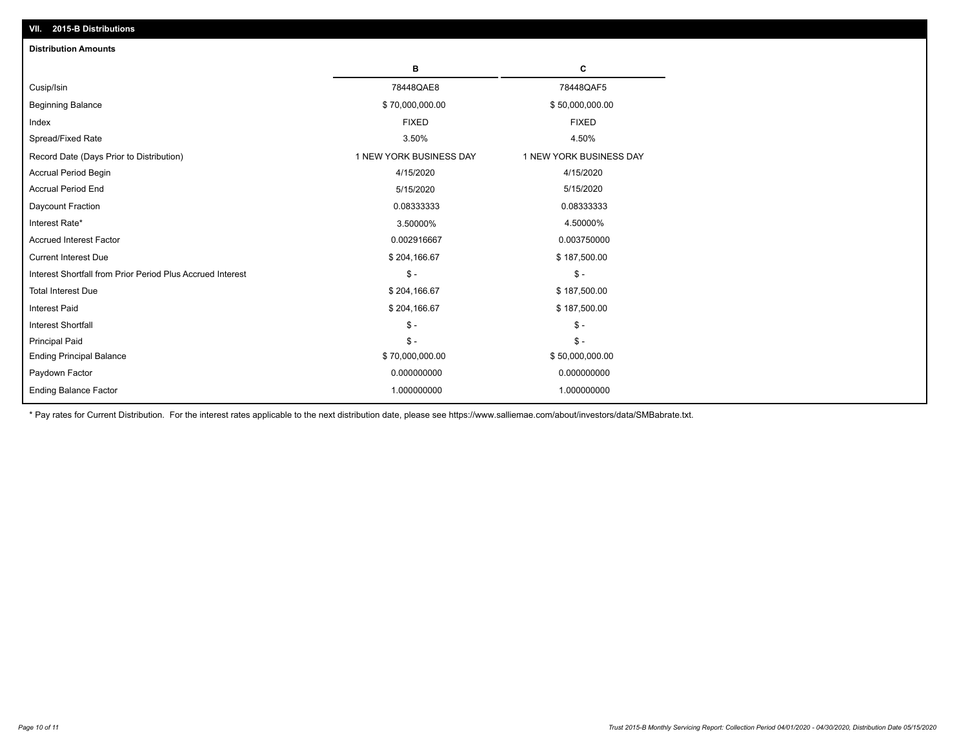| VII. 2015-B Distributions                                  |                         |                         |
|------------------------------------------------------------|-------------------------|-------------------------|
| <b>Distribution Amounts</b>                                |                         |                         |
|                                                            | в                       | c                       |
| Cusip/Isin                                                 | 78448QAE8               | 78448QAF5               |
| <b>Beginning Balance</b>                                   | \$70,000,000.00         | \$50,000,000.00         |
| Index                                                      | <b>FIXED</b>            | <b>FIXED</b>            |
| Spread/Fixed Rate                                          | 3.50%                   | 4.50%                   |
| Record Date (Days Prior to Distribution)                   | 1 NEW YORK BUSINESS DAY | 1 NEW YORK BUSINESS DAY |
| <b>Accrual Period Begin</b>                                | 4/15/2020               | 4/15/2020               |
| <b>Accrual Period End</b>                                  | 5/15/2020               | 5/15/2020               |
| Daycount Fraction                                          | 0.08333333              | 0.08333333              |
| Interest Rate*                                             | 3.50000%                | 4.50000%                |
| <b>Accrued Interest Factor</b>                             | 0.002916667             | 0.003750000             |
| <b>Current Interest Due</b>                                | \$204,166.67            | \$187,500.00            |
| Interest Shortfall from Prior Period Plus Accrued Interest | $\mathsf{\$}$ -         | $\mathsf{\$}$ -         |
| <b>Total Interest Due</b>                                  | \$204,166.67            | \$187,500.00            |
| <b>Interest Paid</b>                                       | \$204,166.67            | \$187,500.00            |
| Interest Shortfall                                         | $\mathcal{S}$ -         | $\mathcal{S}$ -         |
| <b>Principal Paid</b>                                      | $\mathsf{\$}$ -         | $\mathsf{\$}$ -         |
| <b>Ending Principal Balance</b>                            | \$70,000,000.00         | \$50,000,000.00         |
| Paydown Factor                                             | 0.000000000             | 0.000000000             |
| <b>Ending Balance Factor</b>                               | 1.000000000             | 1.000000000             |
|                                                            |                         |                         |

\* Pay rates for Current Distribution. For the interest rates applicable to the next distribution date, please see https://www.salliemae.com/about/investors/data/SMBabrate.txt.